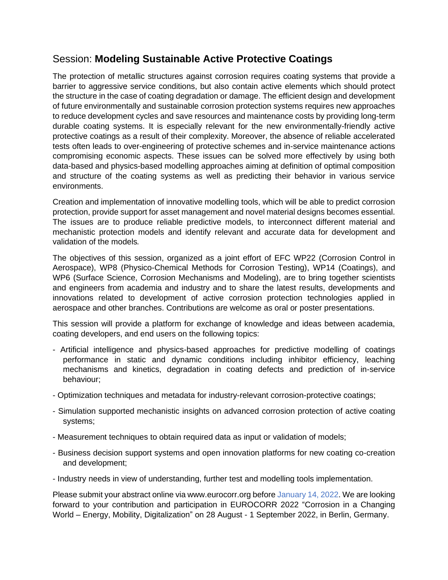## Session: **Modeling Sustainable Active Protective Coatings**

The protection of metallic structures against corrosion requires coating systems that provide a barrier to aggressive service conditions, but also contain active elements which should protect the structure in the case of coating degradation or damage. The efficient design and development of future environmentally and sustainable corrosion protection systems requires new approaches to reduce development cycles and save resources and maintenance costs by providing long-term durable coating systems. It is especially relevant for the new environmentally-friendly active protective coatings as a result of their complexity. Moreover, the absence of reliable accelerated tests often leads to over-engineering of protective schemes and in-service maintenance actions compromising economic aspects. These issues can be solved more effectively by using both data-based and physics-based modelling approaches aiming at definition of optimal composition and structure of the coating systems as well as predicting their behavior in various service environments.

Creation and implementation of innovative modelling tools, which will be able to predict corrosion protection, provide support for asset management and novel material designs becomes essential. The issues are to produce reliable predictive models, to interconnect different material and mechanistic protection models and identify relevant and accurate data for development and validation of the models*.* 

The objectives of this session, organized as a joint effort of EFC WP22 (Corrosion Control in Aerospace), WP8 (Physico-Chemical Methods for Corrosion Testing), WP14 (Coatings), and WP6 (Surface Science, Corrosion Mechanisms and Modeling), are to bring together scientists and engineers from academia and industry and to share the latest results, developments and innovations related to development of active corrosion protection technologies applied in aerospace and other branches. Contributions are welcome as oral or poster presentations.

This session will provide a platform for exchange of knowledge and ideas between academia, coating developers, and end users on the following topics:

- Artificial intelligence and physics-based approaches for predictive modelling of coatings performance in static and dynamic conditions including inhibitor efficiency, leaching mechanisms and kinetics, degradation in coating defects and prediction of in-service behaviour;
- Optimization techniques and metadata for industry-relevant corrosion-protective coatings;
- Simulation supported mechanistic insights on advanced corrosion protection of active coating systems;
- Measurement techniques to obtain required data as input or validation of models;
- Business decision support systems and open innovation platforms for new coating co-creation and development;
- Industry needs in view of understanding, further test and modelling tools implementation.

Please submit your abstract online via www.eurocorr.org before January 14, 2022. We are looking forward to your contribution and participation in EUROCORR 2022 "Corrosion in a Changing World – Energy, Mobility, Digitalization" on 28 August - 1 September 2022, in Berlin, Germany.